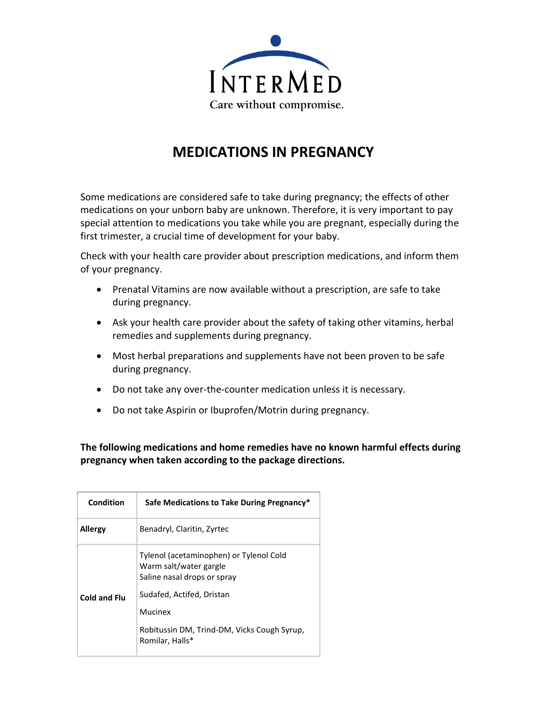

## **MEDICATIONS IN PREGNANCY**

Some medications are considered safe to take during pregnancy; the effects of other medications on your unborn baby are unknown. Therefore, it is very important to pay special attention to medications you take while you are pregnant, especially during the first trimester, a crucial time of development for your baby.

Check with your health care provider about prescription medications, and inform them of your pregnancy.

- Prenatal Vitamins are now available without a prescription, are safe to take during pregnancy.
- Ask your health care provider about the safety of taking other vitamins, herbal remedies and supplements during pregnancy.
- Most herbal preparations and supplements have not been proven to be safe during pregnancy.
- Do not take any over-the-counter medication unless it is necessary.
- Do not take Aspirin or Ibuprofen/Motrin during pregnancy.

**The following medications and home remedies have no known harmful effects during pregnancy when taken according to the package directions.** 

| Condition      | Safe Medications to Take During Pregnancy*                                                       |
|----------------|--------------------------------------------------------------------------------------------------|
| <b>Allergy</b> | Benadryl, Claritin, Zyrtec                                                                       |
| Cold and Flu   | Tylenol (acetaminophen) or Tylenol Cold<br>Warm salt/water gargle<br>Saline nasal drops or spray |
|                | Sudafed, Actifed, Dristan<br>Mucinex                                                             |
|                | Robitussin DM, Trind-DM, Vicks Cough Syrup,<br>Romilar, Halls*                                   |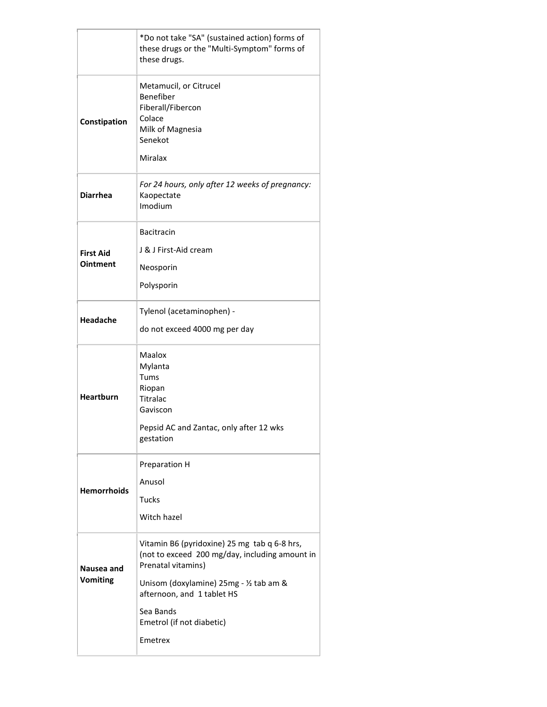|                                     | *Do not take "SA" (sustained action) forms of<br>these drugs or the "Multi-Symptom" forms of<br>these drugs.                                                                                                                                       |
|-------------------------------------|----------------------------------------------------------------------------------------------------------------------------------------------------------------------------------------------------------------------------------------------------|
| Constipation                        | Metamucil, or Citrucel<br>Benefiber<br>Fiberall/Fibercon<br>Colace<br>Milk of Magnesia<br>Senekot<br>Miralax                                                                                                                                       |
| <b>Diarrhea</b>                     | For 24 hours, only after 12 weeks of pregnancy:<br>Kaopectate<br>Imodium                                                                                                                                                                           |
| <b>First Aid</b><br><b>Ointment</b> | <b>Bacitracin</b><br>J & J First-Aid cream<br>Neosporin<br>Polysporin                                                                                                                                                                              |
| Headache                            | Tylenol (acetaminophen) -<br>do not exceed 4000 mg per day                                                                                                                                                                                         |
| <b>Heartburn</b>                    | Maalox<br>Mylanta<br>Tums<br>Riopan<br><b>Titralac</b><br>Gaviscon<br>Pepsid AC and Zantac, only after 12 wks<br>gestation                                                                                                                         |
| <b>Hemorrhoids</b>                  | Preparation H<br>Anusol<br><b>Tucks</b><br>Witch hazel                                                                                                                                                                                             |
| Nausea and<br><b>Vomiting</b>       | Vitamin B6 (pyridoxine) 25 mg tab q 6-8 hrs,<br>(not to exceed 200 mg/day, including amount in<br>Prenatal vitamins)<br>Unisom (doxylamine) 25mg - 1/2 tab am &<br>afternoon, and 1 tablet HS<br>Sea Bands<br>Emetrol (if not diabetic)<br>Emetrex |